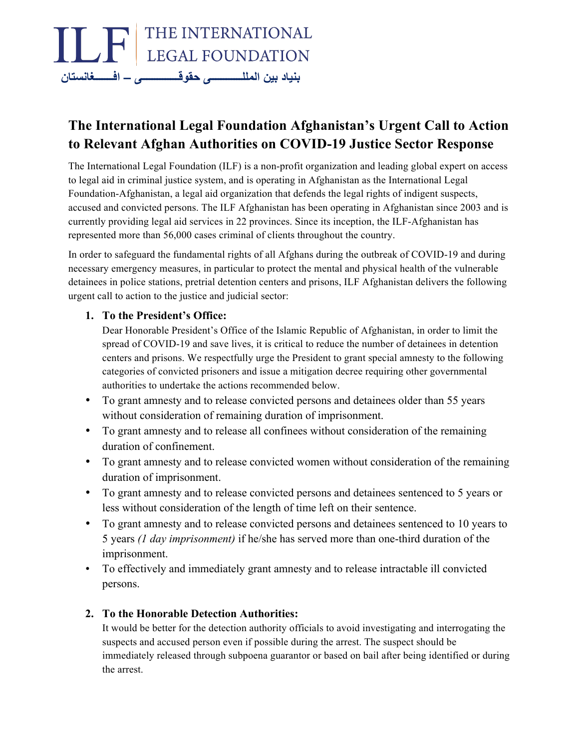

# **The International Legal Foundation Afghanistan's Urgent Call to Action to Relevant Afghan Authorities on COVID-19 Justice Sector Response**

The International Legal Foundation (ILF) is a non-profit organization and leading global expert on access to legal aid in criminal justice system, and is operating in Afghanistan as the International Legal Foundation-Afghanistan, a legal aid organization that defends the legal rights of indigent suspects, accused and convicted persons. The ILF Afghanistan has been operating in Afghanistan since 2003 and is currently providing legal aid services in 22 provinces. Since its inception, the ILF-Afghanistan has represented more than 56,000 cases criminal of clients throughout the country.

In order to safeguard the fundamental rights of all Afghans during the outbreak of COVID-19 and during necessary emergency measures, in particular to protect the mental and physical health of the vulnerable detainees in police stations, pretrial detention centers and prisons, ILF Afghanistan delivers the following urgent call to action to the justice and judicial sector:

### **1. To the President's Office:**

Dear Honorable President's Office of the Islamic Republic of Afghanistan, in order to limit the spread of COVID-19 and save lives, it is critical to reduce the number of detainees in detention centers and prisons. We respectfully urge the President to grant special amnesty to the following categories of convicted prisoners and issue a mitigation decree requiring other governmental authorities to undertake the actions recommended below.

- To grant amnesty and to release convicted persons and detainees older than 55 years without consideration of remaining duration of imprisonment.
- To grant amnesty and to release all confinees without consideration of the remaining duration of confinement.
- To grant amnesty and to release convicted women without consideration of the remaining duration of imprisonment.
- To grant amnesty and to release convicted persons and detainees sentenced to 5 years or less without consideration of the length of time left on their sentence.
- To grant amnesty and to release convicted persons and detainees sentenced to 10 years to 5 years *(1 day imprisonment)* if he/she has served more than one-third duration of the imprisonment.
- To effectively and immediately grant amnesty and to release intractable ill convicted persons.

## **2. To the Honorable Detection Authorities:**

It would be better for the detection authority officials to avoid investigating and interrogating the suspects and accused person even if possible during the arrest. The suspect should be immediately released through subpoena guarantor or based on bail after being identified or during the arrest.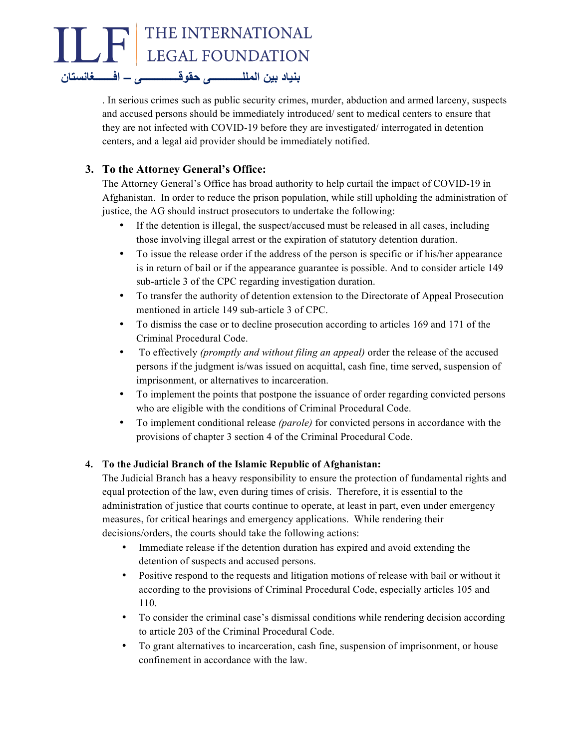

. In serious crimes such as public security crimes, murder, abduction and armed larceny, suspects and accused persons should be immediately introduced/ sent to medical centers to ensure that they are not infected with COVID-19 before they are investigated/ interrogated in detention centers, and a legal aid provider should be immediately notified.

## **3. To the Attorney General's Office:**

The Attorney General's Office has broad authority to help curtail the impact of COVID-19 in Afghanistan. In order to reduce the prison population, while still upholding the administration of justice, the AG should instruct prosecutors to undertake the following:

- If the detention is illegal, the suspect/accused must be released in all cases, including those involving illegal arrest or the expiration of statutory detention duration.
- To issue the release order if the address of the person is specific or if his/her appearance is in return of bail or if the appearance guarantee is possible. And to consider article 149 sub-article 3 of the CPC regarding investigation duration.
- To transfer the authority of detention extension to the Directorate of Appeal Prosecution mentioned in article 149 sub-article 3 of CPC.
- To dismiss the case or to decline prosecution according to articles 169 and 171 of the Criminal Procedural Code.
- To effectively *(promptly and without filing an appeal)* order the release of the accused persons if the judgment is/was issued on acquittal, cash fine, time served, suspension of imprisonment, or alternatives to incarceration.
- To implement the points that postpone the issuance of order regarding convicted persons who are eligible with the conditions of Criminal Procedural Code.
- To implement conditional release *(parole)* for convicted persons in accordance with the provisions of chapter 3 section 4 of the Criminal Procedural Code.

#### **4. To the Judicial Branch of the Islamic Republic of Afghanistan:**

The Judicial Branch has a heavy responsibility to ensure the protection of fundamental rights and equal protection of the law, even during times of crisis. Therefore, it is essential to the administration of justice that courts continue to operate, at least in part, even under emergency measures, for critical hearings and emergency applications. While rendering their decisions/orders, the courts should take the following actions:

- Immediate release if the detention duration has expired and avoid extending the detention of suspects and accused persons.
- Positive respond to the requests and litigation motions of release with bail or without it according to the provisions of Criminal Procedural Code, especially articles 105 and 110.
- To consider the criminal case's dismissal conditions while rendering decision according to article 203 of the Criminal Procedural Code.
- To grant alternatives to incarceration, cash fine, suspension of imprisonment, or house confinement in accordance with the law.